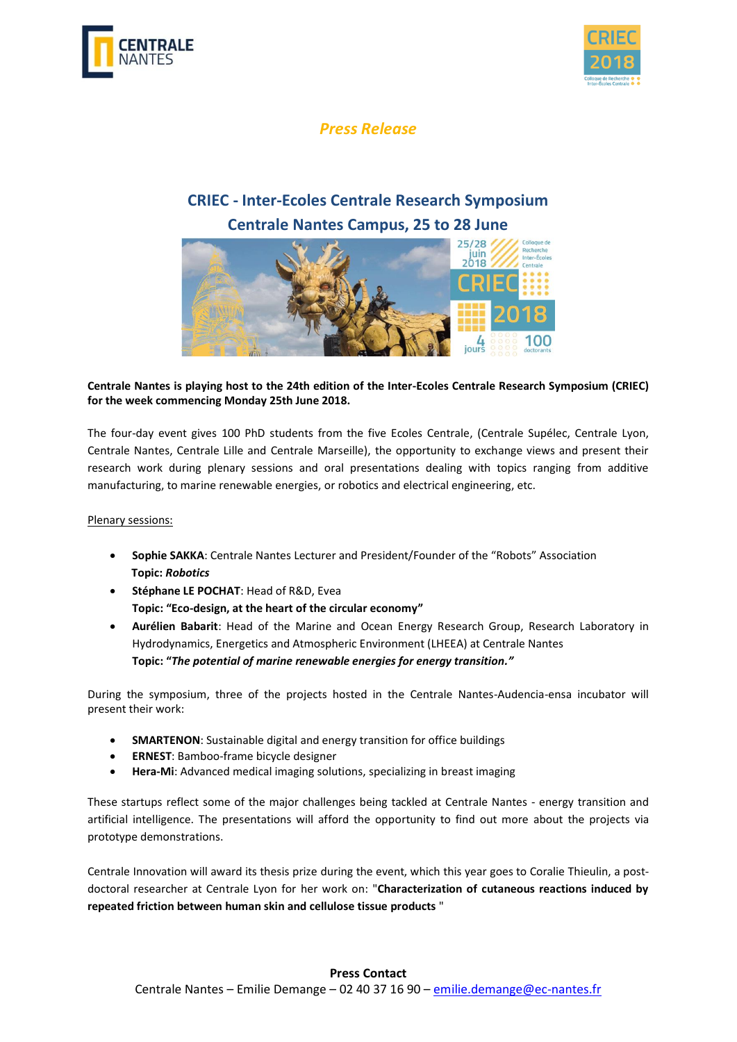



## *Press Release*

# **CRIEC - Inter-Ecoles Centrale Research Symposium Centrale Nantes Campus, 25 to 28 June**



### **Centrale Nantes is playing host to the 24th edition of the Inter-Ecoles Centrale Research Symposium (CRIEC) for the week commencing Monday 25th June 2018.**

The four-day event gives 100 PhD students from the five Ecoles Centrale, (Centrale Supélec, Centrale Lyon, Centrale Nantes, Centrale Lille and Centrale Marseille), the opportunity to exchange views and present their research work during plenary sessions and oral presentations dealing with topics ranging from additive manufacturing, to marine renewable energies, or robotics and electrical engineering, etc.

#### Plenary sessions:

- **Sophie SAKKA**: Centrale Nantes Lecturer and President/Founder of the "Robots" Association **Topic:** *Robotics*
- **Stéphane LE POCHAT**: Head of R&D, Evea **Topic: "Eco-design, at the heart of the circular economy"**
- Aurélien Babarit: Head of the Marine and Ocean Energy Research Group, Research Laboratory in Hydrodynamics, Energetics and Atmospheric Environment (LHEEA) at Centrale Nantes **Topic: "***The potential of marine renewable energies for energy transition."*

During the symposium, three of the projects hosted in the Centrale Nantes-Audencia-ensa incubator will present their work:

- **SMARTENON**: Sustainable digital and energy transition for office buildings
- **ERNEST**: Bamboo-frame bicycle designer
- **Hera-Mi**: Advanced medical imaging solutions, specializing in breast imaging

These startups reflect some of the major challenges being tackled at Centrale Nantes - energy transition and artificial intelligence. The presentations will afford the opportunity to find out more about the projects via prototype demonstrations.

Centrale Innovation will award its thesis prize during the event, which this year goes to Coralie Thieulin, a postdoctoral researcher at Centrale Lyon for her work on: "**Characterization of cutaneous reactions induced by repeated friction between human skin and cellulose tissue products** "